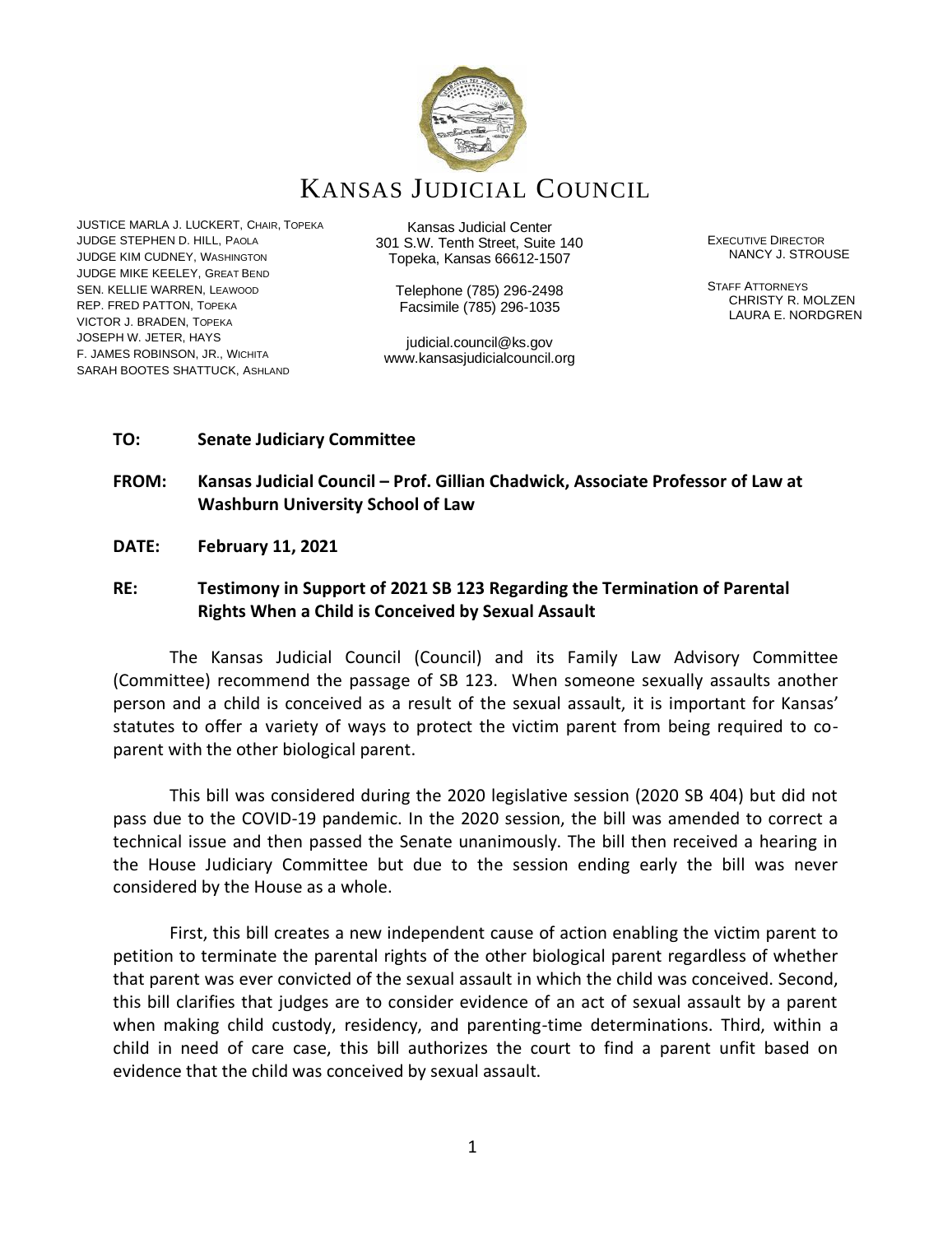

# KANSAS JUDICIAL COUNCIL

JUSTICE MARLA J. LUCKERT, CHAIR, TOPEKA JUDGE STEPHEN D. HILL, PAOLA JUDGE KIM CUDNEY, WASHINGTON JUDGE MIKE KEELEY, GREAT BEND SEN. KELLIE WARREN, LEAWOOD REP. FRED PATTON, TOPEKA VICTOR J. BRADEN, TOPEKA JOSEPH W. JETER, HAYS F. JAMES ROBINSON, JR., WICHITA SARAH BOOTES SHATTUCK, ASHLAND

Kansas Judicial Center 301 S.W. Tenth Street, Suite 140 Topeka, Kansas 66612-1507

> Telephone (785) 296-2498 Facsimile (785) 296-1035

judicial.council@ks.gov www.kansasjudicialcouncil.org EXECUTIVE DIRECTOR NANCY J. STROUSE

STAFF ATTORNEYS CHRISTY R. MOLZEN LAURA E. NORDGREN

## **TO: Senate Judiciary Committee**

# **FROM: Kansas Judicial Council – Prof. Gillian Chadwick, Associate Professor of Law at Washburn University School of Law**

**DATE: February 11, 2021**

# **RE: Testimony in Support of 2021 SB 123 Regarding the Termination of Parental Rights When a Child is Conceived by Sexual Assault**

The Kansas Judicial Council (Council) and its Family Law Advisory Committee (Committee) recommend the passage of SB 123. When someone sexually assaults another person and a child is conceived as a result of the sexual assault, it is important for Kansas' statutes to offer a variety of ways to protect the victim parent from being required to coparent with the other biological parent.

This bill was considered during the 2020 legislative session (2020 SB 404) but did not pass due to the COVID-19 pandemic. In the 2020 session, the bill was amended to correct a technical issue and then passed the Senate unanimously. The bill then received a hearing in the House Judiciary Committee but due to the session ending early the bill was never considered by the House as a whole.

First, this bill creates a new independent cause of action enabling the victim parent to petition to terminate the parental rights of the other biological parent regardless of whether that parent was ever convicted of the sexual assault in which the child was conceived. Second, this bill clarifies that judges are to consider evidence of an act of sexual assault by a parent when making child custody, residency, and parenting-time determinations. Third, within a child in need of care case, this bill authorizes the court to find a parent unfit based on evidence that the child was conceived by sexual assault.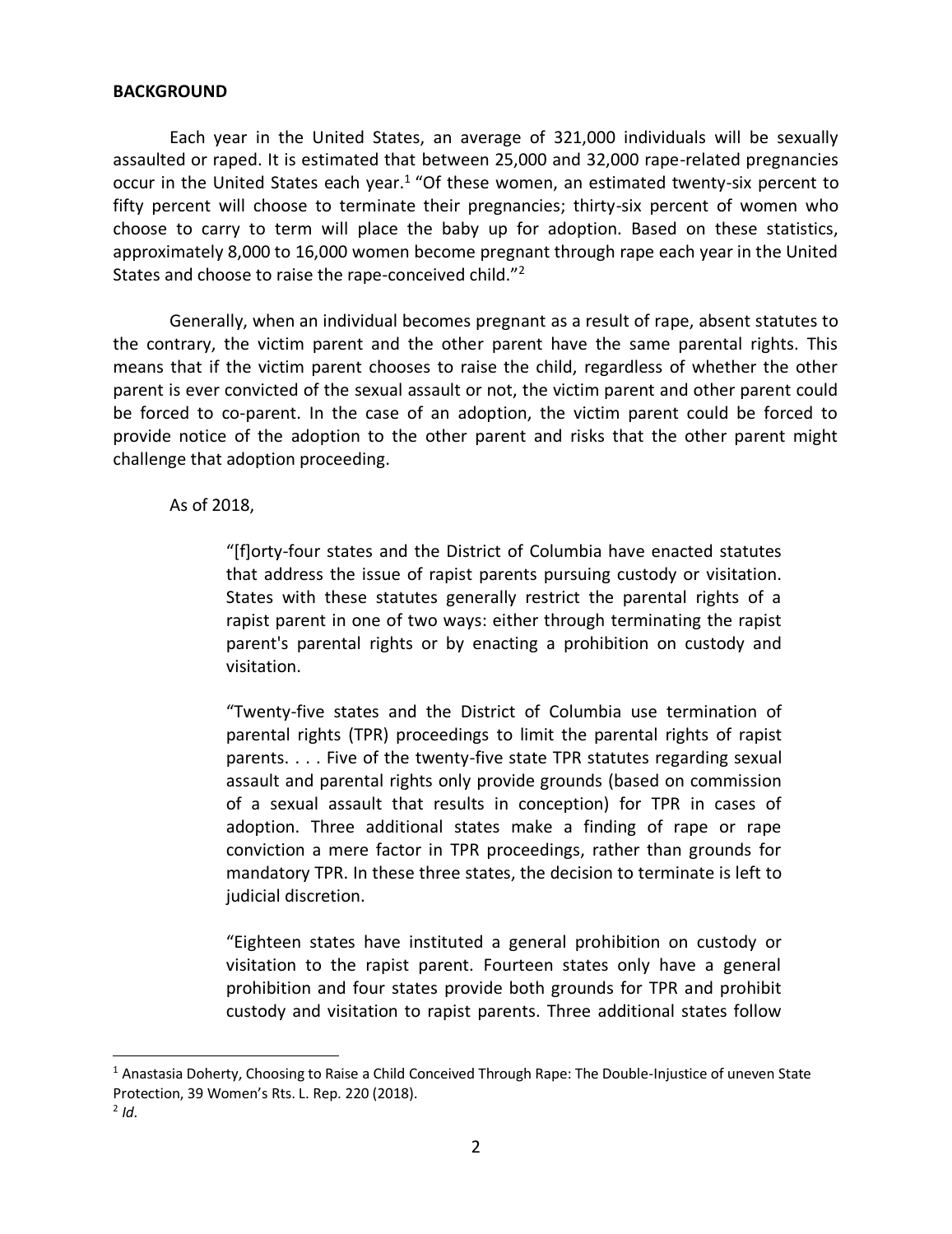#### **BACKGROUND**

Each year in the United States, an average of 321,000 individuals will be sexually assaulted or raped. It is estimated that between 25,000 and 32,000 rape-related pregnancies occur in the United States each year.<sup>1</sup> "Of these women, an estimated twenty-six percent to fifty percent will choose to terminate their pregnancies; thirty-six percent of women who choose to carry to term will place the baby up for adoption. Based on these statistics, approximately 8,000 to 16,000 women become pregnant through rape each year in the United States and choose to raise the rape-conceived child."<sup>2</sup>

Generally, when an individual becomes pregnant as a result of rape, absent statutes to the contrary, the victim parent and the other parent have the same parental rights. This means that if the victim parent chooses to raise the child, regardless of whether the other parent is ever convicted of the sexual assault or not, the victim parent and other parent could be forced to co-parent. In the case of an adoption, the victim parent could be forced to provide notice of the adoption to the other parent and risks that the other parent might challenge that adoption proceeding.

As of 2018,

"[f]orty-four states and the District of Columbia have enacted statutes that address the issue of rapist parents pursuing custody or visitation. States with these statutes generally restrict the parental rights of a rapist parent in one of two ways: either through terminating the rapist parent's parental rights or by enacting a prohibition on custody and visitation.

"Twenty-five states and the District of Columbia use termination of parental rights (TPR) proceedings to limit the parental rights of rapist parents. . . . Five of the twenty-five state TPR statutes regarding sexual assault and parental rights only provide grounds (based on commission of a sexual assault that results in conception) for TPR in cases of adoption. Three additional states make a finding of rape or rape conviction a mere factor in TPR proceedings, rather than grounds for mandatory TPR. In these three states, the decision to terminate is left to judicial discretion.

"Eighteen states have instituted a general prohibition on custody or visitation to the rapist parent. Fourteen states only have a general prohibition and four states provide both grounds for TPR and prohibit custody and visitation to rapist parents. Three additional states follow

 $1$  Anastasia Doherty, Choosing to Raise a Child Conceived Through Rape: The Double-Injustice of uneven State Protection, 39 Women's Rts. L. Rep. 220 (2018).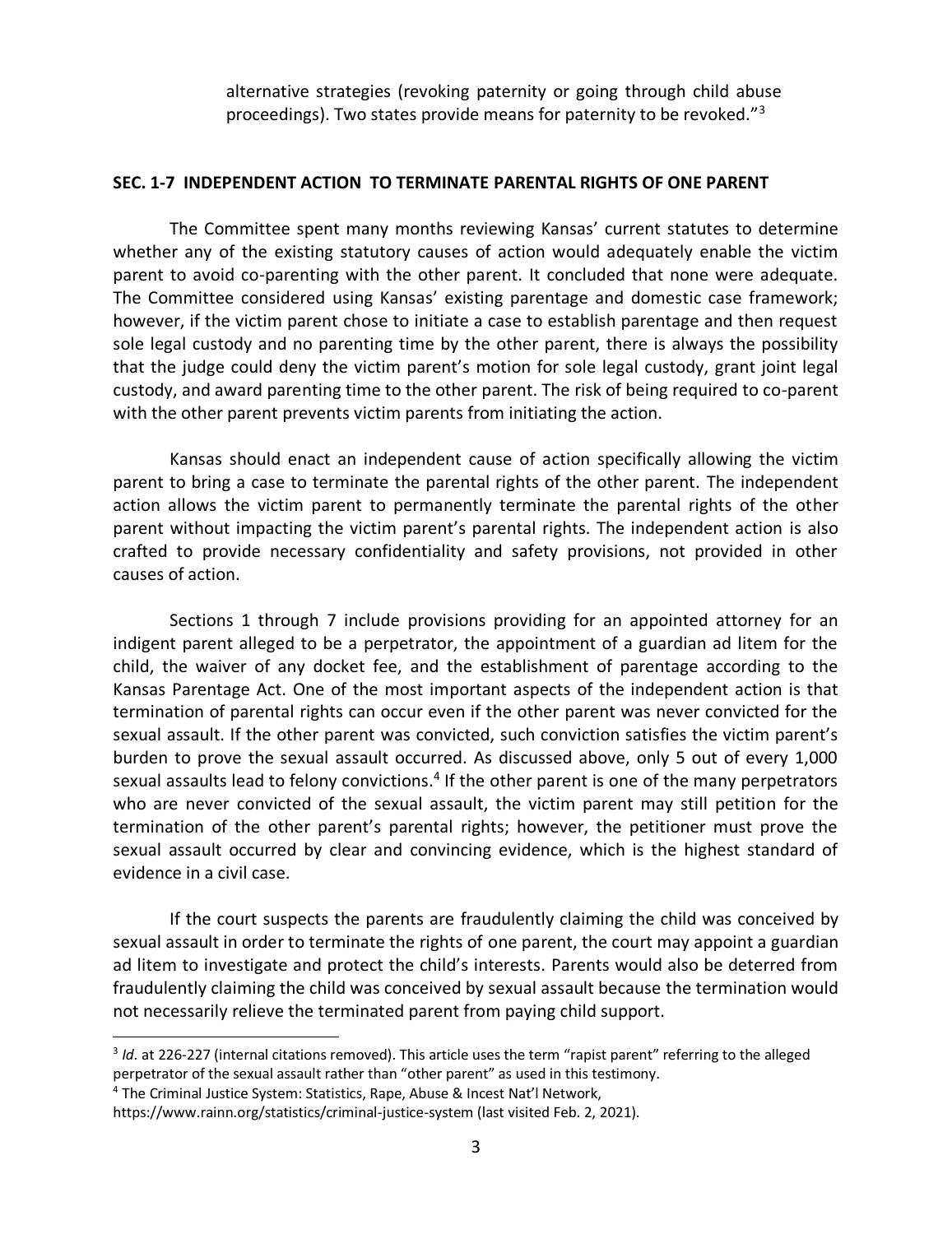alternative strategies (revoking paternity or going through child abuse proceedings). Two states provide means for paternity to be revoked."<sup>3</sup>

## **SEC. 1-7 INDEPENDENT ACTION TO TERMINATE PARENTAL RIGHTS OF ONE PARENT**

The Committee spent many months reviewing Kansas' current statutes to determine whether any of the existing statutory causes of action would adequately enable the victim parent to avoid co-parenting with the other parent. It concluded that none were adequate. The Committee considered using Kansas' existing parentage and domestic case framework; however, if the victim parent chose to initiate a case to establish parentage and then request sole legal custody and no parenting time by the other parent, there is always the possibility that the judge could deny the victim parent's motion for sole legal custody, grant joint legal custody, and award parenting time to the other parent. The risk of being required to co-parent with the other parent prevents victim parents from initiating the action.

Kansas should enact an independent cause of action specifically allowing the victim parent to bring a case to terminate the parental rights of the other parent. The independent action allows the victim parent to permanently terminate the parental rights of the other parent without impacting the victim parent's parental rights. The independent action is also crafted to provide necessary confidentiality and safety provisions, not provided in other causes of action.

Sections 1 through 7 include provisions providing for an appointed attorney for an indigent parent alleged to be a perpetrator, the appointment of a guardian ad litem for the child, the waiver of any docket fee, and the establishment of parentage according to the Kansas Parentage Act. One of the most important aspects of the independent action is that termination of parental rights can occur even if the other parent was never convicted for the sexual assault. If the other parent was convicted, such conviction satisfies the victim parent's burden to prove the sexual assault occurred. As discussed above, only 5 out of every 1,000 sexual assaults lead to felony convictions.<sup>4</sup> If the other parent is one of the many perpetrators who are never convicted of the sexual assault, the victim parent may still petition for the termination of the other parent's parental rights; however, the petitioner must prove the sexual assault occurred by clear and convincing evidence, which is the highest standard of evidence in a civil case.

If the court suspects the parents are fraudulently claiming the child was conceived by sexual assault in order to terminate the rights of one parent, the court may appoint a guardian ad litem to investigate and protect the child's interests. Parents would also be deterred from fraudulently claiming the child was conceived by sexual assault because the termination would not necessarily relieve the terminated parent from paying child support.

<sup>&</sup>lt;sup>3</sup> Id. at 226-227 (internal citations removed). This article uses the term "rapist parent" referring to the alleged perpetrator of the sexual assault rather than "other parent" as used in this testimony.

<sup>4</sup> The Criminal Justice System: Statistics, Rape, Abuse & Incest Nat'l Network,

https://www.rainn.org/statistics/criminal-justice-system (last visited Feb. 2, 2021).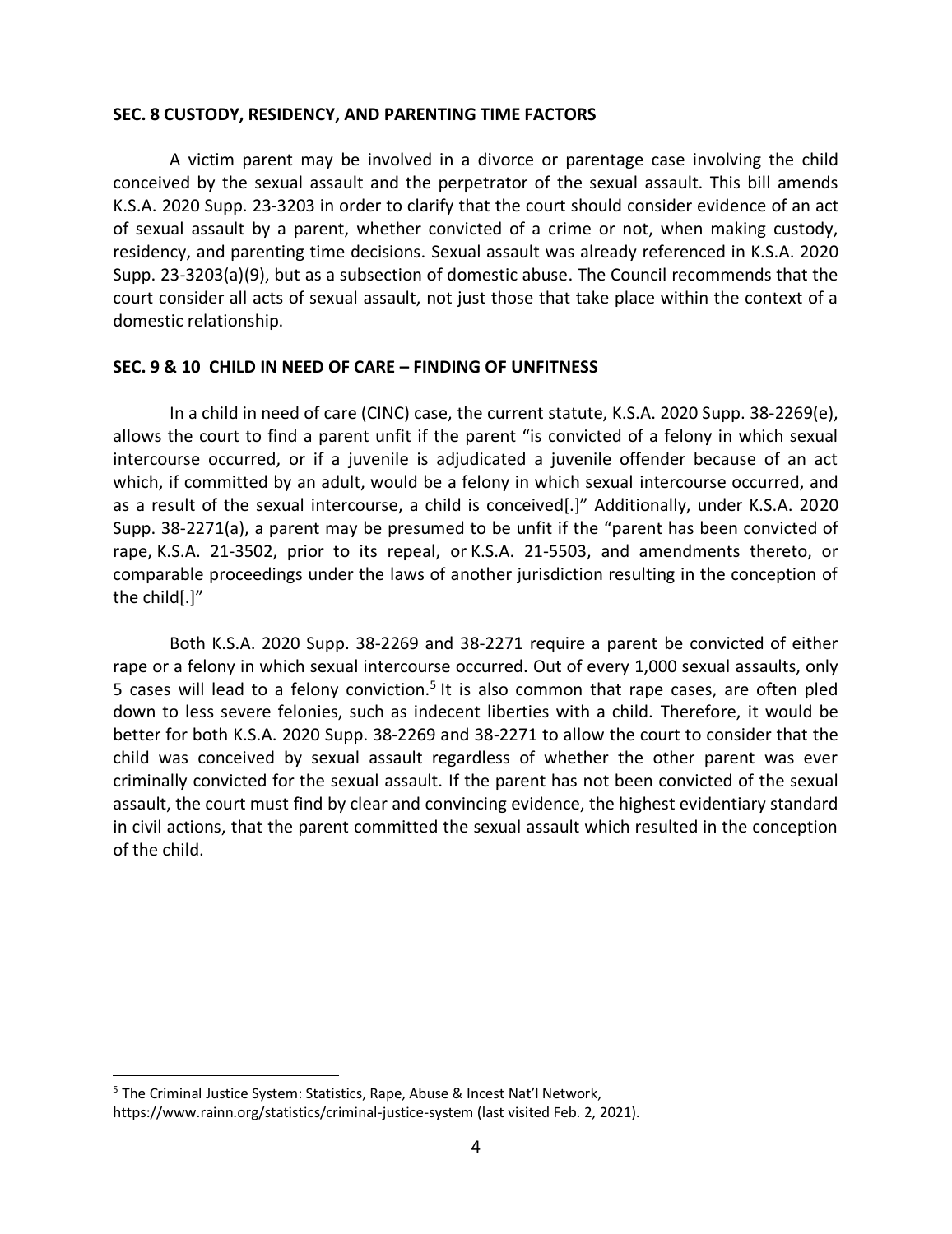#### **SEC. 8 CUSTODY, RESIDENCY, AND PARENTING TIME FACTORS**

A victim parent may be involved in a divorce or parentage case involving the child conceived by the sexual assault and the perpetrator of the sexual assault. This bill amends K.S.A. 2020 Supp. 23-3203 in order to clarify that the court should consider evidence of an act of sexual assault by a parent, whether convicted of a crime or not, when making custody, residency, and parenting time decisions. Sexual assault was already referenced in K.S.A. 2020 Supp. 23-3203(a)(9), but as a subsection of domestic abuse. The Council recommends that the court consider all acts of sexual assault, not just those that take place within the context of a domestic relationship.

#### **SEC. 9 & 10 CHILD IN NEED OF CARE – FINDING OF UNFITNESS**

In a child in need of care (CINC) case, the current statute, K.S.A. 2020 Supp. 38-2269(e), allows the court to find a parent unfit if the parent "is convicted of a felony in which sexual intercourse occurred, or if a juvenile is adjudicated a juvenile offender because of an act which, if committed by an adult, would be a felony in which sexual intercourse occurred, and as a result of the sexual intercourse, a child is conceived[.]" Additionally, under K.S.A. 2020 Supp. 38-2271(a), a parent may be presumed to be unfit if the "parent has been convicted of rape, K.S.A. 21-3502, prior to its repeal, or K.S.A. 21-5503, and amendments thereto, or comparable proceedings under the laws of another jurisdiction resulting in the conception of the child[.]"

Both K.S.A. 2020 Supp. 38-2269 and 38-2271 require a parent be convicted of either rape or a felony in which sexual intercourse occurred. Out of every 1,000 sexual assaults, only 5 cases will lead to a felony conviction.<sup>5</sup> It is also common that rape cases, are often pled down to less severe felonies, such as indecent liberties with a child. Therefore, it would be better for both K.S.A. 2020 Supp. 38-2269 and 38-2271 to allow the court to consider that the child was conceived by sexual assault regardless of whether the other parent was ever criminally convicted for the sexual assault. If the parent has not been convicted of the sexual assault, the court must find by clear and convincing evidence, the highest evidentiary standard in civil actions, that the parent committed the sexual assault which resulted in the conception of the child.

<sup>5</sup> The Criminal Justice System: Statistics, Rape, Abuse & Incest Nat'l Network, https://www.rainn.org/statistics/criminal-justice-system (last visited Feb. 2, 2021).